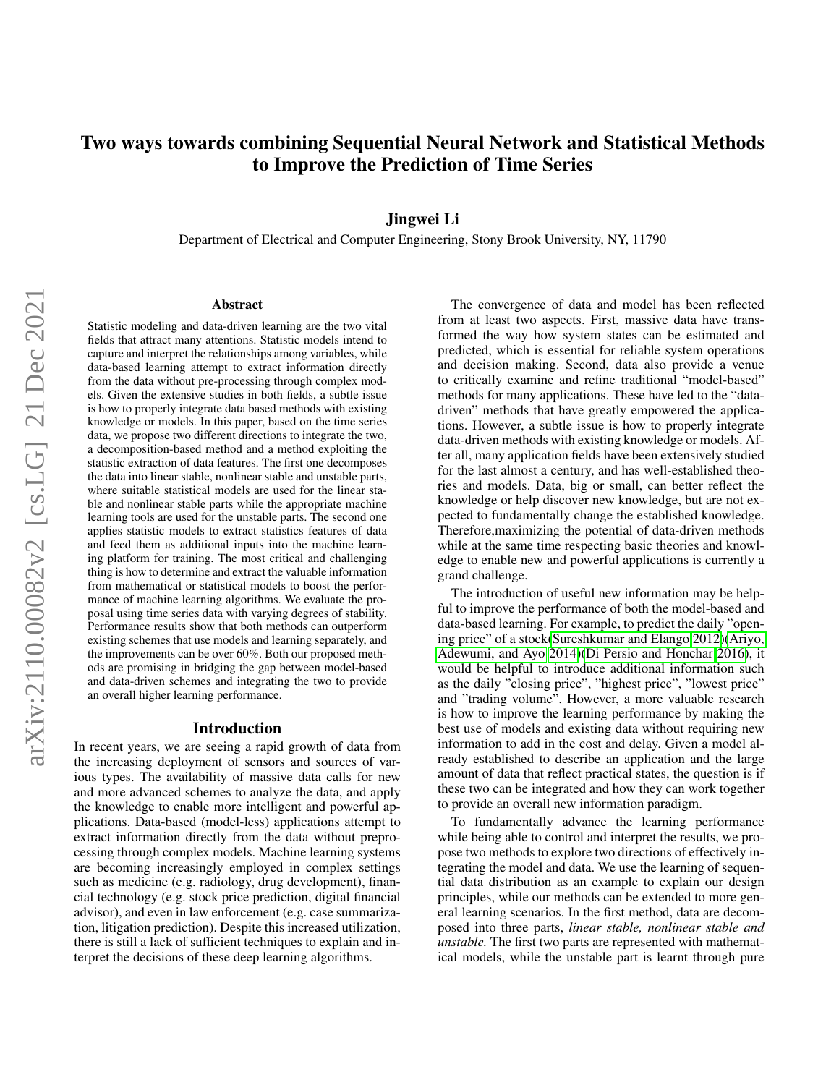# Two ways towards combining Sequential Neural Network and Statistical Methods to Improve the Prediction of Time Series

## Jingwei Li

Department of Electrical and Computer Engineering, Stony Brook University, NY, 11790

#### Abstract

Statistic modeling and data-driven learning are the two vital fields that attract many attentions. Statistic models intend to capture and interpret the relationships among variables, while data-based learning attempt to extract information directly from the data without pre-processing through complex models. Given the extensive studies in both fields, a subtle issue is how to properly integrate data based methods with existing knowledge or models. In this paper, based on the time series data, we propose two different directions to integrate the two, a decomposition-based method and a method exploiting the statistic extraction of data features. The first one decomposes the data into linear stable, nonlinear stable and unstable parts, where suitable statistical models are used for the linear stable and nonlinear stable parts while the appropriate machine learning tools are used for the unstable parts. The second one applies statistic models to extract statistics features of data and feed them as additional inputs into the machine learning platform for training. The most critical and challenging thing is how to determine and extract the valuable information from mathematical or statistical models to boost the performance of machine learning algorithms. We evaluate the proposal using time series data with varying degrees of stability. Performance results show that both methods can outperform existing schemes that use models and learning separately, and the improvements can be over 60%. Both our proposed methods are promising in bridging the gap between model-based and data-driven schemes and integrating the two to provide an overall higher learning performance.

#### Introduction

In recent years, we are seeing a rapid growth of data from the increasing deployment of sensors and sources of various types. The availability of massive data calls for new and more advanced schemes to analyze the data, and apply the knowledge to enable more intelligent and powerful applications. Data-based (model-less) applications attempt to extract information directly from the data without preprocessing through complex models. Machine learning systems are becoming increasingly employed in complex settings such as medicine (e.g. radiology, drug development), financial technology (e.g. stock price prediction, digital financial advisor), and even in law enforcement (e.g. case summarization, litigation prediction). Despite this increased utilization, there is still a lack of sufficient techniques to explain and interpret the decisions of these deep learning algorithms.

The convergence of data and model has been reflected from at least two aspects. First, massive data have transformed the way how system states can be estimated and predicted, which is essential for reliable system operations and decision making. Second, data also provide a venue to critically examine and refine traditional "model-based" methods for many applications. These have led to the "datadriven" methods that have greatly empowered the applications. However, a subtle issue is how to properly integrate data-driven methods with existing knowledge or models. After all, many application fields have been extensively studied for the last almost a century, and has well-established theories and models. Data, big or small, can better reflect the knowledge or help discover new knowledge, but are not expected to fundamentally change the established knowledge. Therefore,maximizing the potential of data-driven methods while at the same time respecting basic theories and knowledge to enable new and powerful applications is currently a grand challenge.

The introduction of useful new information may be helpful to improve the performance of both the model-based and data-based learning. For example, to predict the daily "opening price" of a stock[\(Sureshkumar and Elango 2012\)](#page-7-0)[\(Ariyo,](#page-6-0) [Adewumi, and Ayo 2014\)](#page-6-0)[\(Di Persio and Honchar 2016\)](#page-6-1), it would be helpful to introduce additional information such as the daily "closing price", "highest price", "lowest price" and "trading volume". However, a more valuable research is how to improve the learning performance by making the best use of models and existing data without requiring new information to add in the cost and delay. Given a model already established to describe an application and the large amount of data that reflect practical states, the question is if these two can be integrated and how they can work together to provide an overall new information paradigm.

To fundamentally advance the learning performance while being able to control and interpret the results, we propose two methods to explore two directions of effectively integrating the model and data. We use the learning of sequential data distribution as an example to explain our design principles, while our methods can be extended to more general learning scenarios. In the first method, data are decomposed into three parts, *linear stable, nonlinear stable and unstable.* The first two parts are represented with mathematical models, while the unstable part is learnt through pure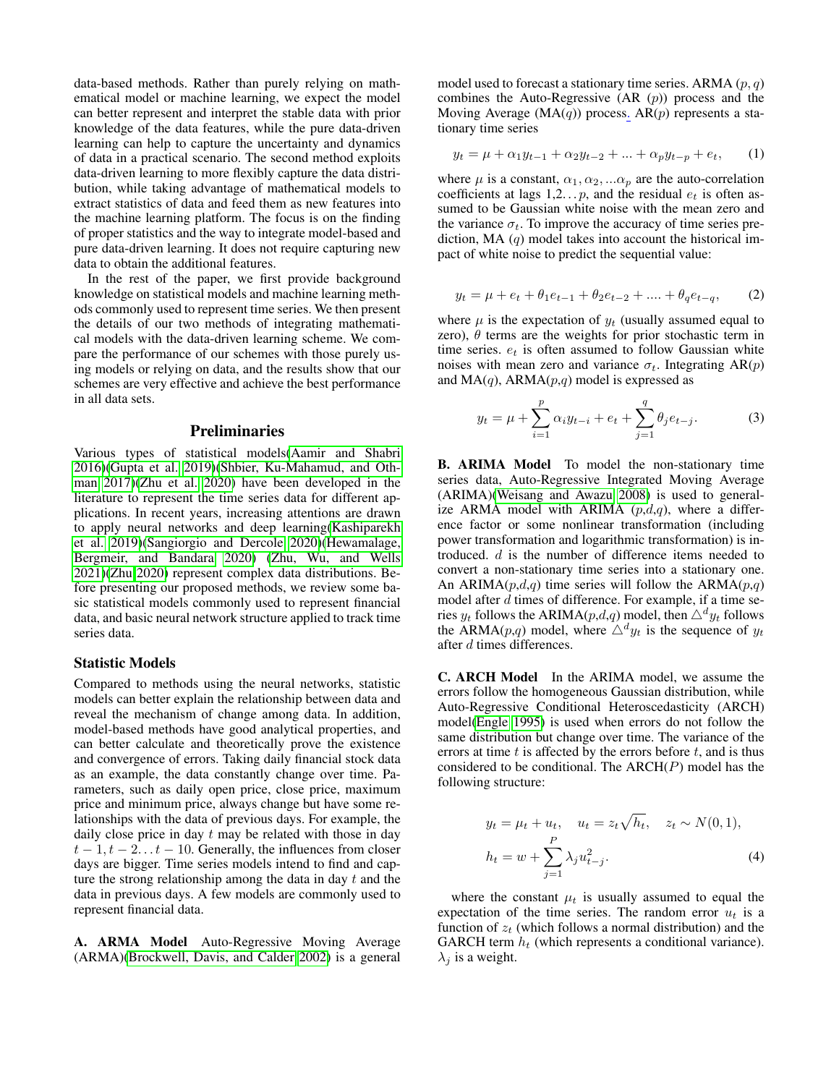data-based methods. Rather than purely relying on mathematical model or machine learning, we expect the model can better represent and interpret the stable data with prior knowledge of the data features, while the pure data-driven learning can help to capture the uncertainty and dynamics of data in a practical scenario. The second method exploits data-driven learning to more flexibly capture the data distribution, while taking advantage of mathematical models to extract statistics of data and feed them as new features into the machine learning platform. The focus is on the finding of proper statistics and the way to integrate model-based and pure data-driven learning. It does not require capturing new data to obtain the additional features.

In the rest of the paper, we first provide background knowledge on statistical models and machine learning methods commonly used to represent time series. We then present the details of our two methods of integrating mathematical models with the data-driven learning scheme. We compare the performance of our schemes with those purely using models or relying on data, and the results show that our schemes are very effective and achieve the best performance in all data sets.

### Preliminaries

Various types of statistical models[\(Aamir and Shabri](#page-6-2) [2016\)](#page-6-2)[\(Gupta et al. 2019\)](#page-6-3)[\(Shbier, Ku-Mahamud, and Oth](#page-7-1)[man 2017\)](#page-7-1)[\(Zhu et al. 2020\)](#page-7-2) have been developed in the literature to represent the time series data for different applications. In recent years, increasing attentions are drawn to apply neural networks and deep learning[\(Kashiparekh](#page-6-4) [et al. 2019\)](#page-6-4)[\(Sangiorgio and Dercole 2020\)](#page-7-3)[\(Hewamalage,](#page-6-5) [Bergmeir, and Bandara 2020\)](#page-6-5) [\(Zhu, Wu, and Wells](#page-7-4) [2021\)](#page-7-4)[\(Zhu 2020\)](#page-7-5) represent complex data distributions. Before presenting our proposed methods, we review some basic statistical models commonly used to represent financial data, and basic neural network structure applied to track time series data.

## Statistic Models

Compared to methods using the neural networks, statistic models can better explain the relationship between data and reveal the mechanism of change among data. In addition, model-based methods have good analytical properties, and can better calculate and theoretically prove the existence and convergence of errors. Taking daily financial stock data as an example, the data constantly change over time. Parameters, such as daily open price, close price, maximum price and minimum price, always change but have some relationships with the data of previous days. For example, the daily close price in day  $t$  may be related with those in day  $t-1, t-2...t-10$ . Generally, the influences from closer days are bigger. Time series models intend to find and capture the strong relationship among the data in day  $t$  and the data in previous days. A few models are commonly used to represent financial data.

A. ARMA Model Auto-Regressive Moving Average (ARMA)[\(Brockwell, Davis, and Calder 2002\)](#page-6-6) is a general

model used to forecast a stationary time series. ARMA  $(p, q)$ combines the Auto-Regressive  $(AR(p))$  process and the Moving Average ( $MA(q)$ ) process.  $AR(p)$  represents a stationary time series

$$
y_t = \mu + \alpha_1 y_{t-1} + \alpha_2 y_{t-2} + \dots + \alpha_p y_{t-p} + e_t, \qquad (1)
$$

where  $\mu$  is a constant,  $\alpha_1, \alpha_2, \ldots \alpha_p$  are the auto-correlation coefficients at lags  $1,2...p$ , and the residual  $e_t$  is often assumed to be Gaussian white noise with the mean zero and the variance  $\sigma_t$ . To improve the accuracy of time series prediction, MA  $(q)$  model takes into account the historical impact of white noise to predict the sequential value:

$$
y_t = \mu + e_t + \theta_1 e_{t-1} + \theta_2 e_{t-2} + \dots + \theta_q e_{t-q}, \qquad (2)
$$

where  $\mu$  is the expectation of  $y_t$  (usually assumed equal to zero),  $\theta$  terms are the weights for prior stochastic term in time series.  $e_t$  is often assumed to follow Gaussian white noises with mean zero and variance  $\sigma_t$ . Integrating AR(p) and  $MA(q)$ , ARMA $(p,q)$  model is expressed as

$$
y_t = \mu + \sum_{i=1}^p \alpha_i y_{t-i} + e_t + \sum_{j=1}^q \theta_j e_{t-j}.
$$
 (3)

B. ARIMA Model To model the non-stationary time series data, Auto-Regressive Integrated Moving Average (ARIMA)[\(Weisang and Awazu 2008\)](#page-7-6) is used to generalize ARMA model with ARIMA  $(p,d,q)$ , where a difference factor or some nonlinear transformation (including power transformation and logarithmic transformation) is introduced. d is the number of difference items needed to convert a non-stationary time series into a stationary one. An ARIMA( $p,d,q$ ) time series will follow the ARMA( $p,q$ ) model after  $d$  times of difference. For example, if a time series  $y_t$  follows the ARIMA( $p,d,q$ ) model, then  $\triangle^d y_t$  follows the ARMA(*p*,*q*) model, where  $\triangle^d y_t$  is the sequence of  $y_t$ after d times differences.

C. ARCH Model In the ARIMA model, we assume the errors follow the homogeneous Gaussian distribution, while Auto-Regressive Conditional Heteroscedasticity (ARCH) model[\(Engle 1995\)](#page-6-7) is used when errors do not follow the same distribution but change over time. The variance of the errors at time  $t$  is affected by the errors before  $t$ , and is thus considered to be conditional. The  $ARCH(P)$  model has the following structure:

$$
y_t = \mu_t + u_t, \quad u_t = z_t \sqrt{h_t}, \quad z_t \sim N(0, 1),
$$

$$
h_t = w + \sum_{j=1}^P \lambda_j u_{t-j}^2.
$$
 (4)

where the constant  $\mu_t$  is usually assumed to equal the expectation of the time series. The random error  $u_t$  is a function of  $z_t$  (which follows a normal distribution) and the GARCH term  $h_t$  (which represents a conditional variance).  $\lambda_i$  is a weight.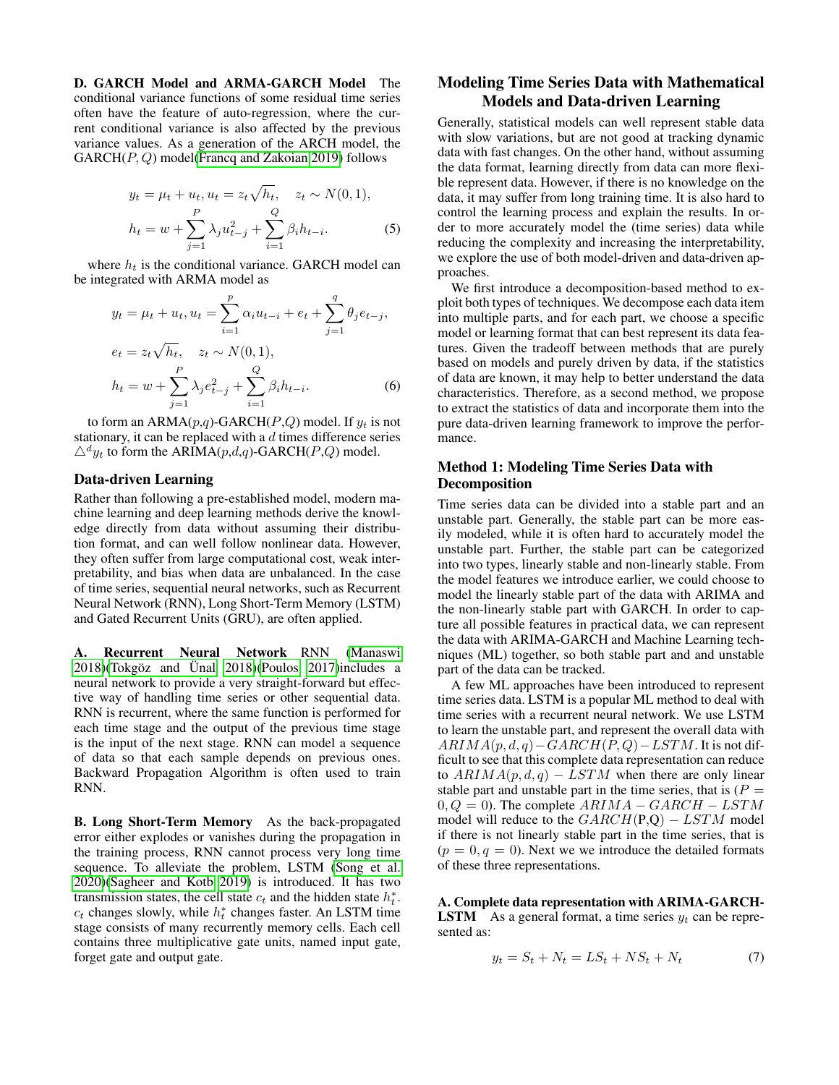D. GARCH Model and ARMA-GARCH Model The conditional variance functions of some residual time series often have the feature of auto-regression, where the current conditional variance is also affected by the previous variance values. As a generation of the ARCH model, the  $GARCH(P, Q) \text{ model}$  [\(Francq and Zakoian 2019\)](#page-6-8) follows

$$
y_t = \mu_t + u_t, u_t = z_t \sqrt{h_t}, \quad z_t \sim N(0, 1),
$$

$$
h_t = w + \sum_{j=1}^P \lambda_j u_{t-j}^2 + \sum_{i=1}^Q \beta_i h_{t-i}.
$$
 (5)

where  $h_t$  is the conditional variance. GARCH model can be integrated with ARMA model as

$$
y_t = \mu_t + u_t, u_t = \sum_{i=1}^p \alpha_i u_{t-i} + e_t + \sum_{j=1}^q \theta_j e_{t-j},
$$
  
\n
$$
e_t = z_t \sqrt{h_t}, \quad z_t \sim N(0, 1),
$$
  
\n
$$
h_t = w + \sum_{j=1}^p \lambda_j e_{t-j}^2 + \sum_{i=1}^Q \beta_i h_{t-i}.
$$
 (6)

to form an ARMA $(p,q)$ -GARCH $(P,Q)$  model. If  $y_t$  is not stationary, it can be replaced with a  $d$  times difference series  $\triangle^d y_t$  to form the ARIMA(p,d,q)-GARCH(P,Q) model.

### Data-driven Learning

Rather than following a pre-established model, modern machine learning and deep learning methods derive the knowledge directly from data without assuming their distribution format, and can well follow nonlinear data. However, they often suffer from large computational cost, weak interpretability, and bias when data are unbalanced. In the case of time series, sequential neural networks, such as Recurrent Neural Network (RNN), Long Short-Term Memory (LSTM) and Gated Recurrent Units (GRU), are often applied.

A. Recurrent Neural Network RNN [\(Manaswi](#page-7-7)  $2018$ )(Tokgöz and Ünal  $2018$ )(Poulos  $2017$ )includes a neural network to provide a very straight-forward but effective way of handling time series or other sequential data. RNN is recurrent, where the same function is performed for each time stage and the output of the previous time stage is the input of the next stage. RNN can model a sequence of data so that each sample depends on previous ones. Backward Propagation Algorithm is often used to train RNN.

B. Long Short-Term Memory As the back-propagated error either explodes or vanishes during the propagation in the training process, RNN cannot process very long time sequence. To alleviate the problem, LSTM [\(Song et al.](#page-7-10) [2020\)](#page-7-10)[\(Sagheer and Kotb 2019\)](#page-7-11) is introduced. It has two transmission states, the cell state  $c_t$  and the hidden state  $h_t^*$ .  $c_t$  changes slowly, while  $h_t^*$  changes faster. An LSTM time stage consists of many recurrently memory cells. Each cell contains three multiplicative gate units, named input gate, forget gate and output gate.

## Modeling Time Series Data with Mathematical Models and Data-driven Learning

Generally, statistical models can well represent stable data with slow variations, but are not good at tracking dynamic data with fast changes. On the other hand, without assuming the data format, learning directly from data can more flexible represent data. However, if there is no knowledge on the data, it may suffer from long training time. It is also hard to control the learning process and explain the results. In order to more accurately model the (time series) data while reducing the complexity and increasing the interpretability, we explore the use of both model-driven and data-driven approaches.

We first introduce a decomposition-based method to exploit both types of techniques. We decompose each data item into multiple parts, and for each part, we choose a specific model or learning format that can best represent its data features. Given the tradeoff between methods that are purely based on models and purely driven by data, if the statistics of data are known, it may help to better understand the data characteristics. Therefore, as a second method, we propose to extract the statistics of data and incorporate them into the pure data-driven learning framework to improve the performance.

## Method 1: Modeling Time Series Data with Decomposition

Time series data can be divided into a stable part and an unstable part. Generally, the stable part can be more easily modeled, while it is often hard to accurately model the unstable part. Further, the stable part can be categorized into two types, linearly stable and non-linearly stable. From the model features we introduce earlier, we could choose to model the linearly stable part of the data with ARIMA and the non-linearly stable part with GARCH. In order to capture all possible features in practical data, we can represent the data with ARIMA-GARCH and Machine Learning techniques (ML) together, so both stable part and and unstable part of the data can be tracked.

A few ML approaches have been introduced to represent time series data. LSTM is a popular ML method to deal with time series with a recurrent neural network. We use LSTM to learn the unstable part, and represent the overall data with  $ARIMA(p, d, q) – GARCH(P, Q) – LSTM$ . It is not difficult to see that this complete data representation can reduce to  $ARIMA(p, d, q) - LSTM$  when there are only linear stable part and unstable part in the time series, that is  $(P =$  $0, Q = 0$ ). The complete  $ARIMA - GARCH - LSTM$ model will reduce to the  $GARCH(P,Q) - LSTM$  model if there is not linearly stable part in the time series, that is  $(p = 0, q = 0)$ . Next we we introduce the detailed formats of these three representations.

A. Complete data representation with ARIMA-GARCH-**LSTM** As a general format, a time series  $y_t$  can be represented as:

$$
y_t = S_t + N_t = LS_t + NS_t + N_t \tag{7}
$$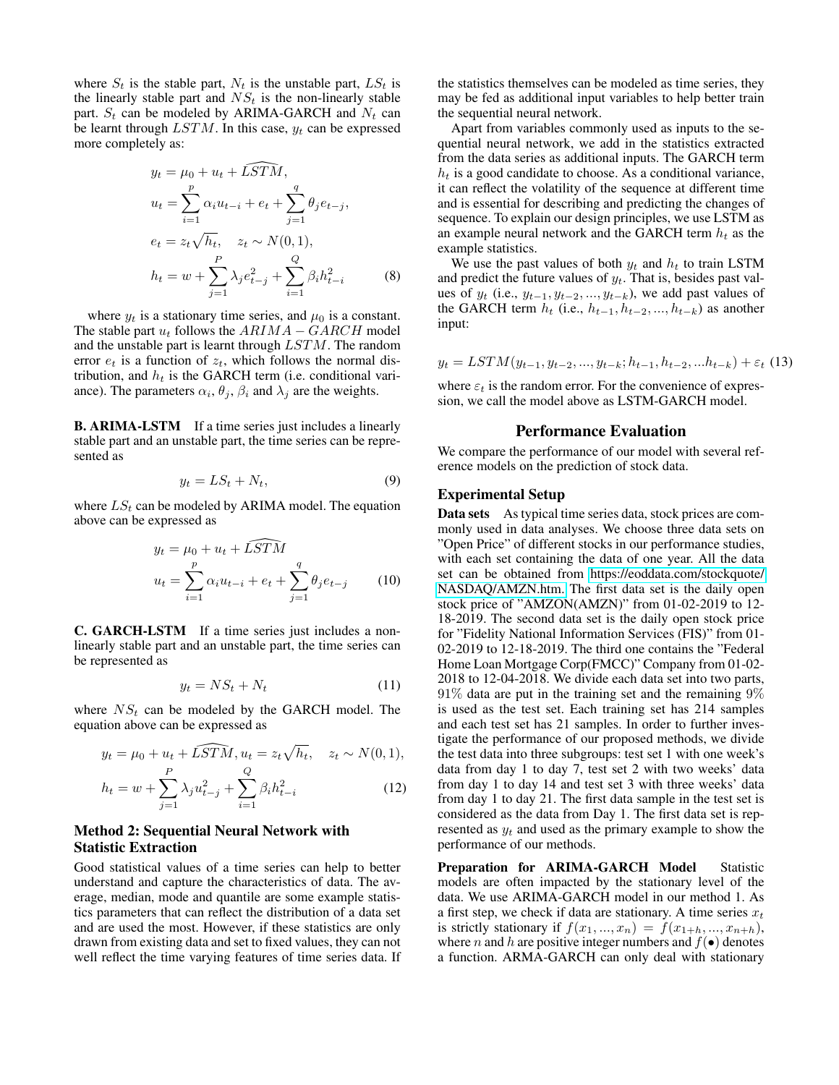where  $S_t$  is the stable part,  $N_t$  is the unstable part,  $LS_t$  is the linearly stable part and  $NS<sub>t</sub>$  is the non-linearly stable part.  $S_t$  can be modeled by ARIMA-GARCH and  $N_t$  can be learnt through  $LSTM$ . In this case,  $y_t$  can be expressed more completely as:

$$
y_t = \mu_0 + u_t + \widehat{LSTM},
$$
  
\n
$$
u_t = \sum_{i=1}^p \alpha_i u_{t-i} + e_t + \sum_{j=1}^q \theta_j e_{t-j},
$$
  
\n
$$
e_t = z_t \sqrt{h_t}, \quad z_t \sim N(0, 1),
$$
  
\n
$$
h_t = w + \sum_{j=1}^p \lambda_j e_{t-j}^2 + \sum_{i=1}^Q \beta_i h_{t-i}^2
$$
 (8)

where  $y_t$  is a stationary time series, and  $\mu_0$  is a constant. The stable part  $u_t$  follows the  $ARIMA - GARCH$  model and the unstable part is learnt through LSTM. The random error  $e_t$  is a function of  $z_t$ , which follows the normal distribution, and  $h_t$  is the GARCH term (i.e. conditional variance). The parameters  $\alpha_i$ ,  $\theta_j$ ,  $\beta_i$  and  $\lambda_j$  are the weights.

B. ARIMA-LSTM If a time series just includes a linearly stable part and an unstable part, the time series can be represented as

$$
y_t = LS_t + N_t,\tag{9}
$$

where  $LS_t$  can be modeled by ARIMA model. The equation above can be expressed as

$$
y_t = \mu_0 + u_t + \widehat{LSTM}
$$
  

$$
u_t = \sum_{i=1}^p \alpha_i u_{t-i} + e_t + \sum_{j=1}^q \theta_j e_{t-j}
$$
 (10)

C. GARCH-LSTM If a time series just includes a nonlinearly stable part and an unstable part, the time series can be represented as

$$
y_t = NS_t + N_t \tag{11}
$$

where  $NS<sub>t</sub>$  can be modeled by the GARCH model. The equation above can be expressed as

$$
y_t = \mu_0 + u_t + \widehat{LSTM}, u_t = z_t \sqrt{h_t}, \quad z_t \sim N(0, 1),
$$

$$
h_t = w + \sum_{j=1}^{P} \lambda_j u_{t-j}^2 + \sum_{i=1}^{Q} \beta_i h_{t-i}^2
$$
 (12)

### Method 2: Sequential Neural Network with Statistic Extraction

Good statistical values of a time series can help to better understand and capture the characteristics of data. The average, median, mode and quantile are some example statistics parameters that can reflect the distribution of a data set and are used the most. However, if these statistics are only drawn from existing data and set to fixed values, they can not well reflect the time varying features of time series data. If

the statistics themselves can be modeled as time series, they may be fed as additional input variables to help better train the sequential neural network.

Apart from variables commonly used as inputs to the sequential neural network, we add in the statistics extracted from the data series as additional inputs. The GARCH term  $h_t$  is a good candidate to choose. As a conditional variance, it can reflect the volatility of the sequence at different time and is essential for describing and predicting the changes of sequence. To explain our design principles, we use LSTM as an example neural network and the GARCH term  $h_t$  as the example statistics.

We use the past values of both  $y_t$  and  $h_t$  to train LSTM and predict the future values of  $y_t$ . That is, besides past values of  $y_t$  (i.e.,  $y_{t-1}, y_{t-2}, ..., y_{t-k}$ ), we add past values of the GARCH term  $h_t$  (i.e.,  $h_{t-1}, h_{t-2}, ..., h_{t-k}$ ) as another input:

$$
y_t = LSTM(y_{t-1}, y_{t-2}, ..., y_{t-k}; h_{t-1}, h_{t-2}, ...h_{t-k}) + \varepsilon_t
$$
 (13)

where  $\varepsilon_t$  is the random error. For the convenience of expression, we call the model above as LSTM-GARCH model.

### Performance Evaluation

We compare the performance of our model with several reference models on the prediction of stock data.

### Experimental Setup

Data sets As typical time series data, stock prices are commonly used in data analyses. We choose three data sets on "Open Price" of different stocks in our performance studies, with each set containing the data of one year. All the data set can be obtained from [https://eoddata.com/stockquote/](https://eoddata.com/stockquote/NASDAQ/AMZN.htm.) [NASDAQ/AMZN.htm.](https://eoddata.com/stockquote/NASDAQ/AMZN.htm.) The first data set is the daily open stock price of "AMZON(AMZN)" from 01-02-2019 to 12- 18-2019. The second data set is the daily open stock price for "Fidelity National Information Services (FIS)" from 01- 02-2019 to 12-18-2019. The third one contains the "Federal Home Loan Mortgage Corp(FMCC)" Company from 01-02- 2018 to 12-04-2018. We divide each data set into two parts,  $91\%$  data are put in the training set and the remaining  $9\%$ is used as the test set. Each training set has 214 samples and each test set has 21 samples. In order to further investigate the performance of our proposed methods, we divide the test data into three subgroups: test set 1 with one week's data from day 1 to day 7, test set 2 with two weeks' data from day 1 to day 14 and test set 3 with three weeks' data from day 1 to day 21. The first data sample in the test set is considered as the data from Day 1. The first data set is represented as  $y_t$  and used as the primary example to show the performance of our methods.

Preparation for ARIMA-GARCH Model Statistic models are often impacted by the stationary level of the data. We use ARIMA-GARCH model in our method 1. As a first step, we check if data are stationary. A time series  $x_t$ is strictly stationary if  $f(x_1, ..., x_n) = f(x_{1+h}, ..., x_{n+h}),$ where *n* and *h* are positive integer numbers and  $f(\bullet)$  denotes a function. ARMA-GARCH can only deal with stationary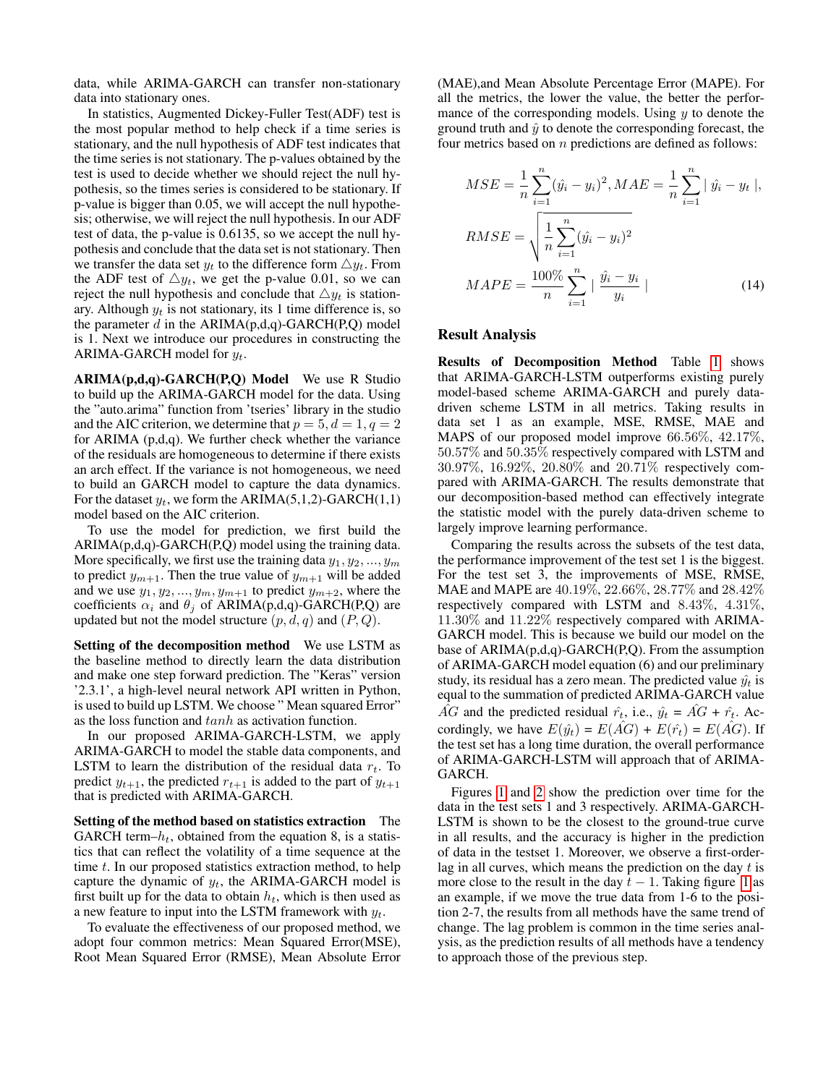data, while ARIMA-GARCH can transfer non-stationary data into stationary ones.

In statistics, Augmented Dickey-Fuller Test(ADF) test is the most popular method to help check if a time series is stationary, and the null hypothesis of ADF test indicates that the time series is not stationary. The p-values obtained by the test is used to decide whether we should reject the null hypothesis, so the times series is considered to be stationary. If p-value is bigger than 0.05, we will accept the null hypothesis; otherwise, we will reject the null hypothesis. In our ADF test of data, the p-value is 0.6135, so we accept the null hypothesis and conclude that the data set is not stationary. Then we transfer the data set  $y_t$  to the difference form  $\triangle y_t$ . From the ADF test of  $\triangle y_t$ , we get the p-value 0.01, so we can reject the null hypothesis and conclude that  $\triangle y_t$  is stationary. Although  $y_t$  is not stationary, its 1 time difference is, so the parameter d in the  $ARIMA(p,d,q)$ -GARCH(P,Q) model is 1. Next we introduce our procedures in constructing the ARIMA-GARCH model for  $y_t$ .

ARIMA(p,d,q)-GARCH(P,Q) Model We use R Studio to build up the ARIMA-GARCH model for the data. Using the "auto.arima" function from 'tseries' library in the studio and the AIC criterion, we determine that  $p = 5, d = 1, q = 2$ for ARIMA (p,d,q). We further check whether the variance of the residuals are homogeneous to determine if there exists an arch effect. If the variance is not homogeneous, we need to build an GARCH model to capture the data dynamics. For the dataset  $y_t$ , we form the ARIMA(5,1,2)-GARCH(1,1) model based on the AIC criterion.

To use the model for prediction, we first build the ARIMA(p,d,q)-GARCH(P,Q) model using the training data. More specifically, we first use the training data  $y_1, y_2, ..., y_m$ to predict  $y_{m+1}$ . Then the true value of  $y_{m+1}$  will be added and we use  $y_1, y_2, \ldots, y_m, y_{m+1}$  to predict  $y_{m+2}$ , where the coefficients  $\alpha_i$  and  $\theta_j$  of ARIMA(p,d,q)-GARCH(P,Q) are updated but not the model structure  $(p, d, q)$  and  $(P, Q)$ .

Setting of the decomposition method We use LSTM as the baseline method to directly learn the data distribution and make one step forward prediction. The "Keras" version '2.3.1', a high-level neural network API written in Python, is used to build up LSTM. We choose " Mean squared Error" as the loss function and tanh as activation function.

In our proposed ARIMA-GARCH-LSTM, we apply ARIMA-GARCH to model the stable data components, and LSTM to learn the distribution of the residual data  $r_t$ . To predict  $y_{t+1}$ , the predicted  $r_{t+1}$  is added to the part of  $y_{t+1}$ that is predicted with ARIMA-GARCH.

Setting of the method based on statistics extraction The GARCH term– $h_t$ , obtained from the equation 8, is a statistics that can reflect the volatility of a time sequence at the time t. In our proposed statistics extraction method, to help capture the dynamic of  $y_t$ , the ARIMA-GARCH model is first built up for the data to obtain  $h_t$ , which is then used as a new feature to input into the LSTM framework with  $y_t$ .

To evaluate the effectiveness of our proposed method, we adopt four common metrics: Mean Squared Error(MSE), Root Mean Squared Error (RMSE), Mean Absolute Error (MAE),and Mean Absolute Percentage Error (MAPE). For all the metrics, the lower the value, the better the performance of the corresponding models. Using  $y$  to denote the ground truth and  $\hat{y}$  to denote the corresponding forecast, the four metrics based on  $n$  predictions are defined as follows:

$$
MSE = \frac{1}{n} \sum_{i=1}^{n} (\hat{y}_i - y_i)^2, MAE = \frac{1}{n} \sum_{i=1}^{n} |\hat{y}_i - y_t|,
$$
  
\n
$$
RMSE = \sqrt{\frac{1}{n} \sum_{i=1}^{n} (\hat{y}_i - y_i)^2}
$$
  
\n
$$
MAPE = \frac{100\%}{n} \sum_{i=1}^{n} |\frac{\hat{y}_i - y_i}{y_i}|
$$
\n(14)

### Result Analysis

Results of Decomposition Method Table [1](#page-5-0) shows that ARIMA-GARCH-LSTM outperforms existing purely model-based scheme ARIMA-GARCH and purely datadriven scheme LSTM in all metrics. Taking results in data set 1 as an example, MSE, RMSE, MAE and MAPS of our proposed model improve 66.56%, 42.17%, 50.57% and 50.35% respectively compared with LSTM and 30.97%, 16.92%, 20.80% and 20.71% respectively compared with ARIMA-GARCH. The results demonstrate that our decomposition-based method can effectively integrate the statistic model with the purely data-driven scheme to largely improve learning performance.

Comparing the results across the subsets of the test data, the performance improvement of the test set 1 is the biggest. For the test set 3, the improvements of MSE, RMSE, MAE and MAPE are 40.19%, 22.66%, 28.77% and 28.42% respectively compared with LSTM and 8.43%, 4.31%, 11.30% and 11.22% respectively compared with ARIMA-GARCH model. This is because we build our model on the base of  $ARIMA(p,d,q)-GARCH(P,Q)$ . From the assumption of ARIMA-GARCH model equation (6) and our preliminary study, its residual has a zero mean. The predicted value  $\hat{y}_t$  is equal to the summation of predicted ARIMA-GARCH value AG and the predicted residual  $\hat{r}_t$ , i.e.,  $\hat{y}_t = AG + \hat{r}_t$ . Accordingly, we have  $E(\hat{y}_t) = E(\hat{AG}) + E(\hat{r}_t) = E(\hat{AG})$ . If the test set has a long time duration, the overall performance of ARIMA-GARCH-LSTM will approach that of ARIMA-GARCH.

Figures [1](#page-5-1) and [2](#page-5-2) show the prediction over time for the data in the test sets 1 and 3 respectively. ARIMA-GARCH-LSTM is shown to be the closest to the ground-true curve in all results, and the accuracy is higher in the prediction of data in the testset 1. Moreover, we observe a first-orderlag in all curves, which means the prediction on the day  $t$  is more close to the result in the day  $t - 1$  $t - 1$ . Taking figure 1 as an example, if we move the true data from 1-6 to the position 2-7, the results from all methods have the same trend of change. The lag problem is common in the time series analysis, as the prediction results of all methods have a tendency to approach those of the previous step.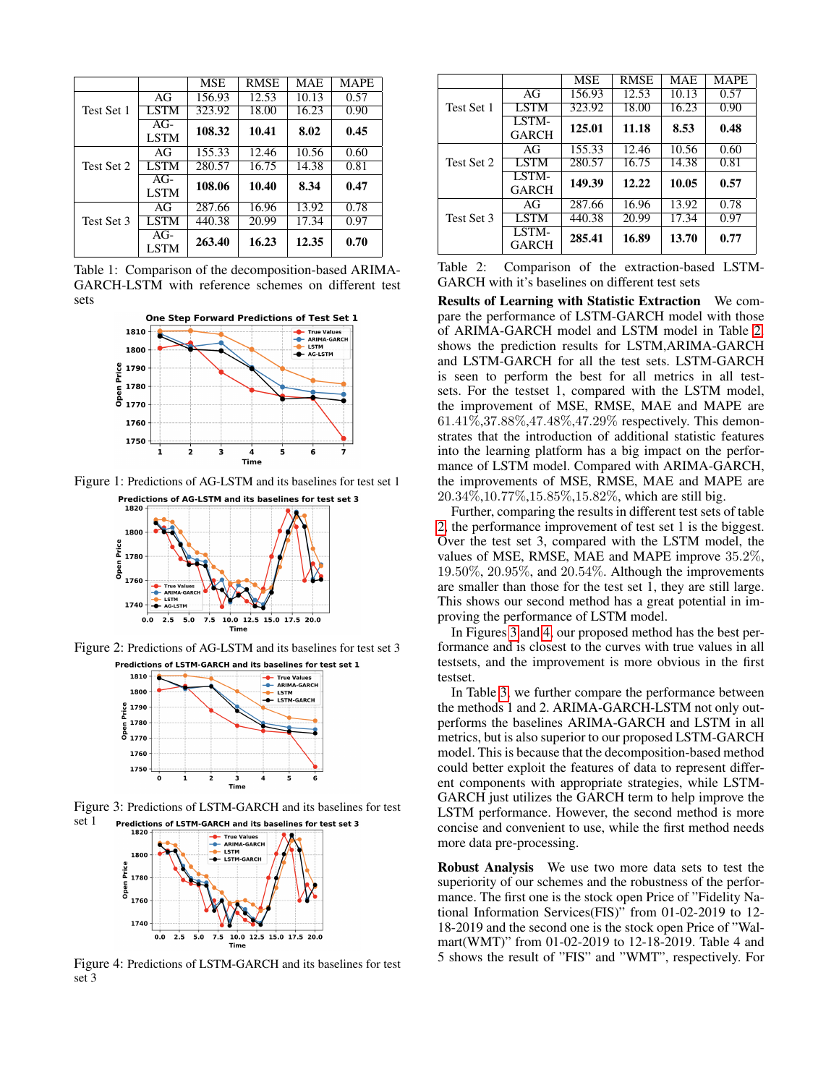<span id="page-5-0"></span>

|            |                      | <b>MSE</b> | <b>RMSE</b>        | <b>MAE</b> | <b>MAPE</b> |
|------------|----------------------|------------|--------------------|------------|-------------|
|            | AG                   | 156.93     | $\overline{12.53}$ | 10.13      | 0.57        |
| Test Set 1 | LSTM                 | 323.92     | 18.00              | 16.23      | 0.90        |
|            | $AG-$<br><b>LSTM</b> | 108.32     | 10.41              | 8.02       | 0.45        |
|            | AG                   | 155.33     | 12.46              | 10.56      | 0.60        |
| Test Set 2 | <b>LSTM</b>          | 280.57     | 16.75              | 14.38      | 0.81        |
|            | $AG-$<br><b>LSTM</b> | 108.06     | 10.40              | 8.34       | 0.47        |
|            | AG                   | 287.66     | 16.96              | 13.92      | 0.78        |
| Test Set 3 | <b>LSTM</b>          | 440.38     | $20.\overline{99}$ | 17.34      | 0.97        |
|            | $AG-$<br><b>LSTM</b> | 263.40     | 16.23              | 12.35      | 0.70        |

Table 1: Comparison of the decomposition-based ARIMA-GARCH-LSTM with reference schemes on different test sets

<span id="page-5-1"></span>

<span id="page-5-2"></span>Figure 1: Predictions of AG-LSTM and its baselines for test set 1 Predictions of AG-LSTM and its baselines for test set 3



<span id="page-5-4"></span>Figure 2: Predictions of AG-LSTM and its baselines for test set 3



<span id="page-5-5"></span>Figure 3: Predictions of LSTM-GARCH and its baselines for test set 1 Predictions of LSTM-GARCH and its baselines for test set 3



Figure 4: Predictions of LSTM-GARCH and its baselines for test set 3

<span id="page-5-3"></span>

|            |                       | <b>MSE</b> | <b>RMSE</b> | <b>MAE</b> | <b>MAPE</b> |
|------------|-----------------------|------------|-------------|------------|-------------|
|            | AG                    | 156.93     | 12.53       | 10.13      | 0.57        |
| Test Set 1 | <b>LSTM</b>           | 323.92     | 18.00       | 16.23      | 0.90        |
|            | LSTM-<br><b>GARCH</b> | 125.01     | 11.18       | 8.53       | 0.48        |
|            | AG                    | 155.33     | 12.46       | 10.56      | 0.60        |
| Test Set 2 | <b>LSTM</b>           | 280.57     | 16.75       | 14.38      | 0.81        |
|            | LSTM-<br><b>GARCH</b> | 149.39     | 12.22       | 10.05      | 0.57        |
|            | AG                    | 287.66     | 16.96       | 13.92      | 0.78        |
| Test Set 3 | <b>LSTM</b>           | 440.38     | 20.99       | 17.34      | 0.97        |
|            | LSTM-<br><b>GARCH</b> | 285.41     | 16.89       | 13.70      | 0.77        |

Table 2: Comparison of the extraction-based LSTM-GARCH with it's baselines on different test sets

Results of Learning with Statistic Extraction We compare the performance of LSTM-GARCH model with those of ARIMA-GARCH model and LSTM model in Table [2.](#page-5-3) shows the prediction results for LSTM,ARIMA-GARCH and LSTM-GARCH for all the test sets. LSTM-GARCH is seen to perform the best for all metrics in all testsets. For the testset 1, compared with the LSTM model, the improvement of MSE, RMSE, MAE and MAPE are 61.41%,37.88%,47.48%,47.29% respectively. This demonstrates that the introduction of additional statistic features into the learning platform has a big impact on the performance of LSTM model. Compared with ARIMA-GARCH, the improvements of MSE, RMSE, MAE and MAPE are 20.34%,10.77%,15.85%,15.82%, which are still big.

Further, comparing the results in different test sets of table [2,](#page-5-3) the performance improvement of test set 1 is the biggest. Over the test set 3, compared with the LSTM model, the values of MSE, RMSE, MAE and MAPE improve 35.2%,  $19.50\%$ ,  $20.95\%$ , and  $20.54\%$ . Although the improvements are smaller than those for the test set 1, they are still large. This shows our second method has a great potential in improving the performance of LSTM model.

In Figures [3](#page-5-4) and [4,](#page-5-5) our proposed method has the best performance and is closest to the curves with true values in all testsets, and the improvement is more obvious in the first testset.

In Table [3,](#page-6-9) we further compare the performance between the methods 1 and 2. ARIMA-GARCH-LSTM not only outperforms the baselines ARIMA-GARCH and LSTM in all metrics, but is also superior to our proposed LSTM-GARCH model. This is because that the decomposition-based method could better exploit the features of data to represent different components with appropriate strategies, while LSTM-GARCH just utilizes the GARCH term to help improve the LSTM performance. However, the second method is more concise and convenient to use, while the first method needs more data pre-processing.

Robust Analysis We use two more data sets to test the superiority of our schemes and the robustness of the performance. The first one is the stock open Price of "Fidelity National Information Services(FIS)" from 01-02-2019 to 12- 18-2019 and the second one is the stock open Price of "Walmart(WMT)" from 01-02-2019 to 12-18-2019. Table 4 and 5 shows the result of "FIS" and "WMT", respectively. For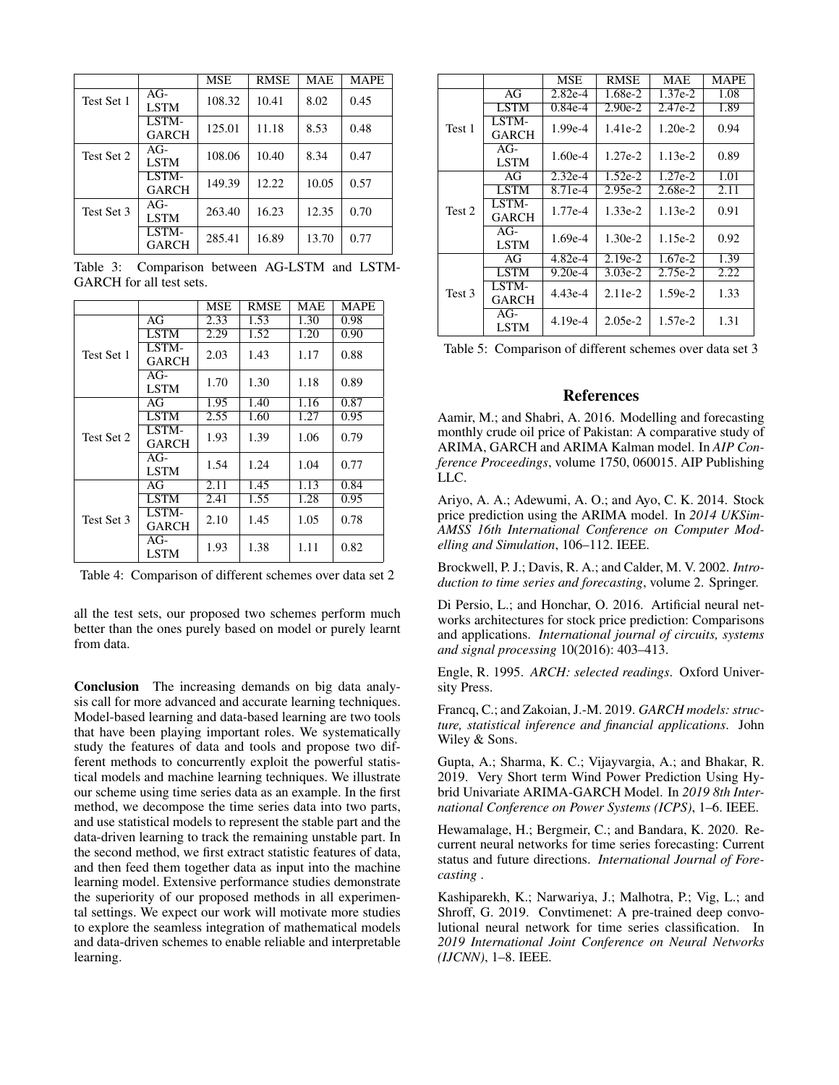<span id="page-6-9"></span>

|            |                       | <b>MSE</b> | <b>RMSE</b> | <b>MAE</b> | <b>MAPE</b> |
|------------|-----------------------|------------|-------------|------------|-------------|
| Test Set 1 | $AG-$<br><b>LSTM</b>  | 108.32     | 10.41       | 8.02       | 0.45        |
|            | LSTM-<br><b>GARCH</b> | 125.01     | 11.18       | 8.53       | 0.48        |
| Test Set 2 | $AG-$<br><b>LSTM</b>  | 108.06     | 10.40       | 8.34       | 0.47        |
|            | LSTM-<br><b>GARCH</b> | 149.39     | 12.22.      | 10.05      | 0.57        |
| Test Set 3 | $AG-$<br><b>LSTM</b>  | 263.40     | 16.23       | 12.35      | 0.70        |
|            | LSTM-<br>GARCH        | 285.41     | 16.89       | 13.70      | 0.77        |

Table 3: Comparison between AG-LSTM and LSTM-GARCH for all test sets.

|            |              | <b>MSE</b>   | <b>RMSE</b> | MAE  | <b>MAPE</b> |
|------------|--------------|--------------|-------------|------|-------------|
| Test Set 1 | AG           | 2.33         | 1.53        | 1.30 | 0.98        |
|            | <b>LSTM</b>  | 2.29         | 1.52        | 1.20 | 0.90        |
|            | LSTM-        | 2.03         | 1.43        | 1.17 | 0.88        |
|            | <b>GARCH</b> |              |             |      |             |
|            | $AG-$        | 1.70         | 1.30        | 1.18 | 0.89        |
|            | <b>LSTM</b>  |              |             |      |             |
| Test Set 2 | AG           | 1.95         | 1.40        | 1.16 | 0.87        |
|            | <b>LSTM</b>  | 2.55         | 1.60        | 1.27 | 0.95        |
|            | LSTM-        | 1.93         | 1.39        | 1.06 | 0.79        |
|            | GARCH        |              |             |      |             |
|            | AG-          | 1.54<br>1.24 |             | 1.04 | 0.77        |
|            | LSTM         |              |             |      |             |
| Test Set 3 | AG           | 2.11         | 1.45        | 1.13 | 0.84        |
|            | <b>LSTM</b>  | 2.41         | 1.55        | 1.28 | 0.95        |
|            | LSTM-        | 2.10         | 1.45        | 1.05 | 0.78        |
|            | GARCH        |              |             |      |             |
|            | AG-          | 1.93         | 1.38        | 1.11 | 0.82        |
|            | LSTM         |              |             |      |             |

Table 4: Comparison of different schemes over data set 2

all the test sets, our proposed two schemes perform much better than the ones purely based on model or purely learnt from data.

Conclusion The increasing demands on big data analysis call for more advanced and accurate learning techniques. Model-based learning and data-based learning are two tools that have been playing important roles. We systematically study the features of data and tools and propose two different methods to concurrently exploit the powerful statistical models and machine learning techniques. We illustrate our scheme using time series data as an example. In the first method, we decompose the time series data into two parts, and use statistical models to represent the stable part and the data-driven learning to track the remaining unstable part. In the second method, we first extract statistic features of data, and then feed them together data as input into the machine learning model. Extensive performance studies demonstrate the superiority of our proposed methods in all experimental settings. We expect our work will motivate more studies to explore the seamless integration of mathematical models and data-driven schemes to enable reliable and interpretable learning.

|        |                      | <b>MSE</b> | <b>RMSE</b> | MAE       | <b>MAPE</b> |
|--------|----------------------|------------|-------------|-----------|-------------|
| Test 1 | AG                   | $2.82e-4$  | 1.68e-2     | 1.37e-2   | 1.08        |
|        | <b>LSTM</b>          | $0.84e-4$  | $2.90e-2$   | $2.47e-2$ | 1.89        |
|        | LSTM-<br>GARCH       | $1.99e-4$  | $1.41e-2$   | $1.20e-2$ | 0.94        |
|        | $AG-$<br><b>LSTM</b> | $1.60e-4$  | $1.27e-2$   | $1.13e-2$ | 0.89        |
| Test 2 | AG                   | $2.32e-4$  | $1.52e-2$   | $1.27e-2$ | 1.01        |
|        | <b>LSTM</b>          | 8.71e-4    | $2.95e-2$   | 2.68e-2   | 2.11        |
|        | LSTM-<br>GARCH       | $1.77e-4$  | $1.33e-2$   | $1.13e-2$ | 0.91        |
|        | $AG-$<br><b>LSTM</b> | $1.69e-4$  | $1.30e-2$   | $1.15e-2$ | 0.92        |
| Test 3 | AGr                  | $4.82e-4$  | $2.19e-2$   | $1.67e-2$ | 1.39        |
|        | <b>LSTM</b>          | $9.20e-4$  | $3.03e-2$   | $2.75e-2$ | 2.22        |
|        | LSTM-<br>GARCH       | $4.43e-4$  | $2.11e-2$   | $1.59e-2$ | 1.33        |
|        | $AG-$<br><b>LSTM</b> | 4.19e-4    | $2.05e-2$   | $1.57e-2$ | 1.31        |

Table 5: Comparison of different schemes over data set 3

### References

<span id="page-6-2"></span>Aamir, M.; and Shabri, A. 2016. Modelling and forecasting monthly crude oil price of Pakistan: A comparative study of ARIMA, GARCH and ARIMA Kalman model. In *AIP Conference Proceedings*, volume 1750, 060015. AIP Publishing LLC.

<span id="page-6-0"></span>Ariyo, A. A.; Adewumi, A. O.; and Ayo, C. K. 2014. Stock price prediction using the ARIMA model. In *2014 UKSim-AMSS 16th International Conference on Computer Modelling and Simulation*, 106–112. IEEE.

<span id="page-6-6"></span>Brockwell, P. J.; Davis, R. A.; and Calder, M. V. 2002. *Introduction to time series and forecasting*, volume 2. Springer.

<span id="page-6-1"></span>Di Persio, L.; and Honchar, O. 2016. Artificial neural networks architectures for stock price prediction: Comparisons and applications. *International journal of circuits, systems and signal processing* 10(2016): 403–413.

<span id="page-6-7"></span>Engle, R. 1995. *ARCH: selected readings*. Oxford University Press.

<span id="page-6-8"></span>Francq, C.; and Zakoian, J.-M. 2019. *GARCH models: structure, statistical inference and financial applications*. John Wiley & Sons.

<span id="page-6-3"></span>Gupta, A.; Sharma, K. C.; Vijayvargia, A.; and Bhakar, R. 2019. Very Short term Wind Power Prediction Using Hybrid Univariate ARIMA-GARCH Model. In *2019 8th International Conference on Power Systems (ICPS)*, 1–6. IEEE.

<span id="page-6-5"></span>Hewamalage, H.; Bergmeir, C.; and Bandara, K. 2020. Recurrent neural networks for time series forecasting: Current status and future directions. *International Journal of Forecasting* .

<span id="page-6-4"></span>Kashiparekh, K.; Narwariya, J.; Malhotra, P.; Vig, L.; and Shroff, G. 2019. Convtimenet: A pre-trained deep convolutional neural network for time series classification. In *2019 International Joint Conference on Neural Networks (IJCNN)*, 1–8. IEEE.